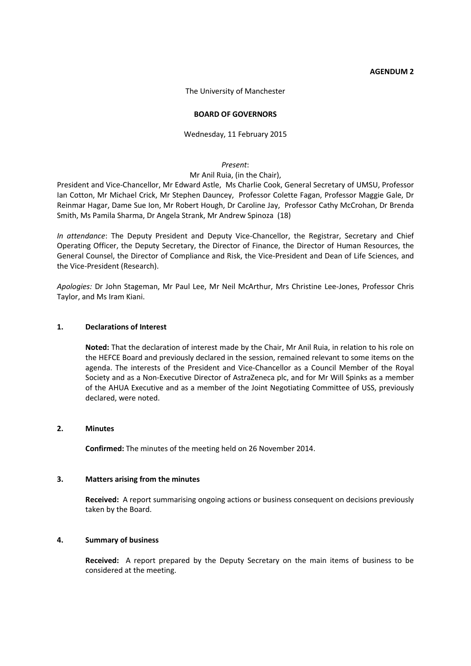#### **AGENDUM 2**

The University of Manchester

#### **BOARD OF GOVERNORS**

#### Wednesday, 11 February 2015

#### *Present*:

#### Mr Anil Ruia, (in the Chair),

President and Vice-Chancellor, Mr Edward Astle, Ms Charlie Cook, General Secretary of UMSU, Professor Ian Cotton, Mr Michael Crick, Mr Stephen Dauncey, Professor Colette Fagan, Professor Maggie Gale, Dr Reinmar Hagar, Dame Sue Ion, Mr Robert Hough, Dr Caroline Jay, Professor Cathy McCrohan, Dr Brenda Smith, Ms Pamila Sharma, Dr Angela Strank, Mr Andrew Spinoza (18)

*In attendance*: The Deputy President and Deputy Vice-Chancellor, the Registrar, Secretary and Chief Operating Officer, the Deputy Secretary, the Director of Finance, the Director of Human Resources, the General Counsel, the Director of Compliance and Risk, the Vice-President and Dean of Life Sciences, and the Vice-President (Research).

*Apologies:* Dr John Stageman, Mr Paul Lee, Mr Neil McArthur, Mrs Christine Lee-Jones, Professor Chris Taylor, and Ms Iram Kiani.

#### **1. Declarations of Interest**

**Noted:** That the declaration of interest made by the Chair, Mr Anil Ruia, in relation to his role on the HEFCE Board and previously declared in the session, remained relevant to some items on the agenda. The interests of the President and Vice-Chancellor as a Council Member of the Royal Society and as a Non-Executive Director of AstraZeneca plc, and for Mr Will Spinks as a member of the AHUA Executive and as a member of the Joint Negotiating Committee of USS, previously declared, were noted.

#### **2. Minutes**

**Confirmed:** The minutes of the meeting held on 26 November 2014.

#### **3. Matters arising from the minutes**

**Received:** A report summarising ongoing actions or business consequent on decisions previously taken by the Board.

#### **4. Summary of business**

**Received:** A report prepared by the Deputy Secretary on the main items of business to be considered at the meeting.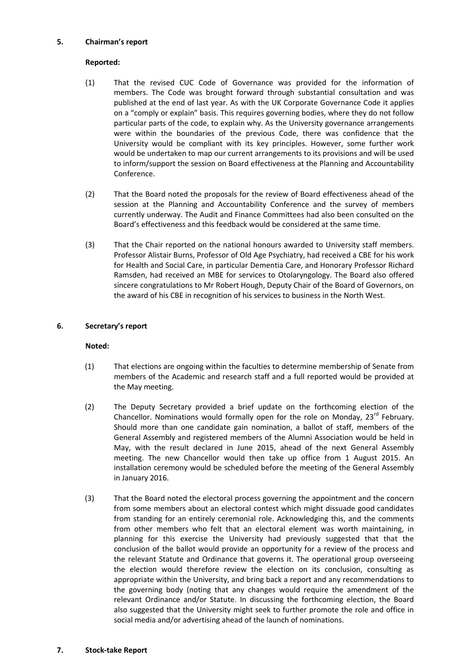## **5. Chairman's report**

# **Reported:**

- (1) That the revised CUC Code of Governance was provided for the information of members. The Code was brought forward through substantial consultation and was published at the end of last year. As with the UK Corporate Governance Code it applies on a "comply or explain" basis. This requires governing bodies, where they do not follow particular parts of the code, to explain why. As the University governance arrangements were within the boundaries of the previous Code, there was confidence that the University would be compliant with its key principles. However, some further work would be undertaken to map our current arrangements to its provisions and will be used to inform/support the session on Board effectiveness at the Planning and Accountability Conference.
- (2) That the Board noted the proposals for the review of Board effectiveness ahead of the session at the Planning and Accountability Conference and the survey of members currently underway. The Audit and Finance Committees had also been consulted on the Board's effectiveness and this feedback would be considered at the same time.
- (3) That the Chair reported on the national honours awarded to University staff members. Professor Alistair Burns, Professor of Old Age Psychiatry, had received a CBE for his work for Health and Social Care, in particular Dementia Care, and Honorary Professor Richard Ramsden, had received an MBE for services to Otolaryngology. The Board also offered sincere congratulations to Mr Robert Hough, Deputy Chair of the Board of Governors, on the award of his CBE in recognition of his services to business in the North West.

# **6. Secretary's report**

# **Noted:**

- (1) That elections are ongoing within the faculties to determine membership of Senate from members of the Academic and research staff and a full reported would be provided at the May meeting.
- (2) The Deputy Secretary provided a brief update on the forthcoming election of the Chancellor. Nominations would formally open for the role on Monday,  $23^{rd}$  February. Should more than one candidate gain nomination, a ballot of staff, members of the General Assembly and registered members of the Alumni Association would be held in May, with the result declared in June 2015, ahead of the next General Assembly meeting. The new Chancellor would then take up office from 1 August 2015. An installation ceremony would be scheduled before the meeting of the General Assembly in January 2016.
- (3) That the Board noted the electoral process governing the appointment and the concern from some members about an electoral contest which might dissuade good candidates from standing for an entirely ceremonial role. Acknowledging this, and the comments from other members who felt that an electoral element was worth maintaining, in planning for this exercise the University had previously suggested that that the conclusion of the ballot would provide an opportunity for a review of the process and the relevant Statute and Ordinance that governs it. The operational group overseeing the election would therefore review the election on its conclusion, consulting as appropriate within the University, and bring back a report and any recommendations to the governing body (noting that any changes would require the amendment of the relevant Ordinance and/or Statute. In discussing the forthcoming election, the Board also suggested that the University might seek to further promote the role and office in social media and/or advertising ahead of the launch of nominations.

#### **7. Stock-take Report**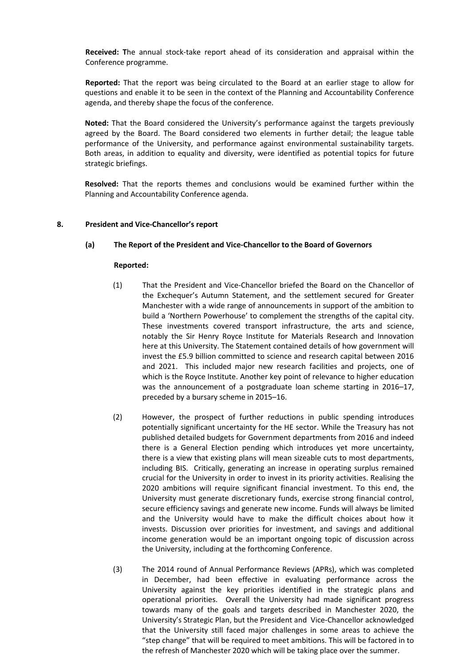**Received: T**he annual stock-take report ahead of its consideration and appraisal within the Conference programme.

**Reported:** That the report was being circulated to the Board at an earlier stage to allow for questions and enable it to be seen in the context of the Planning and Accountability Conference agenda, and thereby shape the focus of the conference.

**Noted:** That the Board considered the University's performance against the targets previously agreed by the Board. The Board considered two elements in further detail; the league table performance of the University, and performance against environmental sustainability targets. Both areas, in addition to equality and diversity, were identified as potential topics for future strategic briefings.

**Resolved:** That the reports themes and conclusions would be examined further within the Planning and Accountability Conference agenda.

#### **8. President and Vice-Chancellor's report**

#### **(a) The Report of the President and Vice-Chancellor to the Board of Governors**

- (1) That the President and Vice-Chancellor briefed the Board on the Chancellor of the Exchequer's Autumn Statement, and the settlement secured for Greater Manchester with a wide range of announcements in support of the ambition to build a 'Northern Powerhouse' to complement the strengths of the capital city. These investments covered transport infrastructure, the arts and science, notably the Sir Henry Royce Institute for Materials Research and Innovation here at this University. The Statement contained details of how government will invest the £5.9 billion committed to science and research capital between 2016 and 2021. This included major new research facilities and projects, one of which is the Royce Institute. Another key point of relevance to higher education was the announcement of a postgraduate loan scheme starting in 2016–17, preceded by a bursary scheme in 2015–16.
- (2) However, the prospect of further reductions in public spending introduces potentially significant uncertainty for the HE sector. While the Treasury has not published detailed budgets for Government departments from 2016 and indeed there is a General Election pending which introduces yet more uncertainty, there is a view that existing plans will mean sizeable cuts to most departments, including BIS. Critically, generating an increase in operating surplus remained crucial for the University in order to invest in its priority activities. Realising the 2020 ambitions will require significant financial investment. To this end, the University must generate discretionary funds, exercise strong financial control, secure efficiency savings and generate new income. Funds will always be limited and the University would have to make the difficult choices about how it invests. Discussion over priorities for investment, and savings and additional income generation would be an important ongoing topic of discussion across the University, including at the forthcoming Conference.
- (3) The 2014 round of Annual Performance Reviews (APRs), which was completed in December, had been effective in evaluating performance across the University against the key priorities identified in the strategic plans and operational priorities. Overall the University had made significant progress towards many of the goals and targets described in Manchester 2020, the University's Strategic Plan, but the President and Vice-Chancellor acknowledged that the University still faced major challenges in some areas to achieve the "step change" that will be required to meet ambitions. This will be factored in to the refresh of Manchester 2020 which will be taking place over the summer.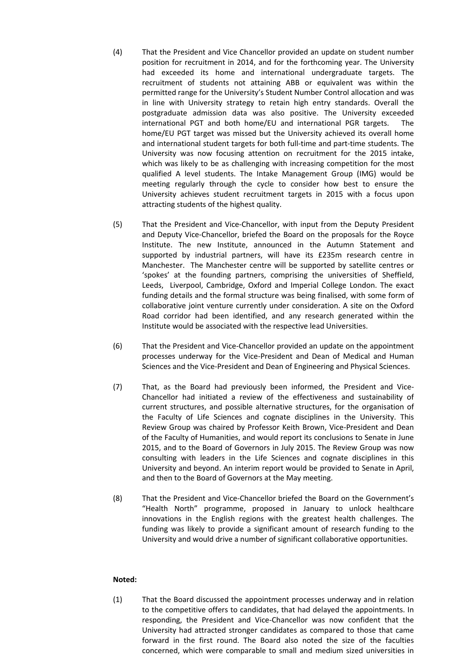- (4) That the President and Vice Chancellor provided an update on student number position for recruitment in 2014, and for the forthcoming year. The University had exceeded its home and international undergraduate targets. The recruitment of students not attaining ABB or equivalent was within the permitted range for the University's Student Number Control allocation and was in line with University strategy to retain high entry standards. Overall the postgraduate admission data was also positive. The University exceeded international PGT and both home/EU and international PGR targets. The home/EU PGT target was missed but the University achieved its overall home and international student targets for both full-time and part-time students. The University was now focusing attention on recruitment for the 2015 intake, which was likely to be as challenging with increasing competition for the most qualified A level students. The Intake Management Group (IMG) would be meeting regularly through the cycle to consider how best to ensure the University achieves student recruitment targets in 2015 with a focus upon attracting students of the highest quality.
- (5) That the President and Vice-Chancellor, with input from the Deputy President and Deputy Vice-Chancellor, briefed the Board on the proposals for the Royce Institute. The new Institute, announced in the Autumn Statement and supported by industrial partners, will have its £235m research centre in Manchester. The Manchester centre will be supported by satellite centres or 'spokes' at the founding partners, comprising the universities of Sheffield, Leeds, Liverpool, Cambridge, Oxford and Imperial College London. The exact funding details and the formal structure was being finalised, with some form of collaborative joint venture currently under consideration. A site on the Oxford Road corridor had been identified, and any research generated within the Institute would be associated with the respective lead Universities.
- (6) That the President and Vice-Chancellor provided an update on the appointment processes underway for the Vice-President and Dean of Medical and Human Sciences and the Vice-President and Dean of Engineering and Physical Sciences.
- (7) That, as the Board had previously been informed, the President and Vice-Chancellor had initiated a review of the effectiveness and sustainability of current structures, and possible alternative structures, for the organisation of the Faculty of Life Sciences and cognate disciplines in the University. This Review Group was chaired by Professor Keith Brown, Vice-President and Dean of the Faculty of Humanities, and would report its conclusions to Senate in June 2015, and to the Board of Governors in July 2015. The Review Group was now consulting with leaders in the Life Sciences and cognate disciplines in this University and beyond. An interim report would be provided to Senate in April, and then to the Board of Governors at the May meeting.
- (8) That the President and Vice-Chancellor briefed the Board on the Government's "Health North" programme, proposed in January to unlock healthcare innovations in the English regions with the greatest health challenges. The funding was likely to provide a significant amount of research funding to the University and would drive a number of significant collaborative opportunities.

#### **Noted:**

(1) That the Board discussed the appointment processes underway and in relation to the competitive offers to candidates, that had delayed the appointments. In responding, the President and Vice-Chancellor was now confident that the University had attracted stronger candidates as compared to those that came forward in the first round. The Board also noted the size of the faculties concerned, which were comparable to small and medium sized universities in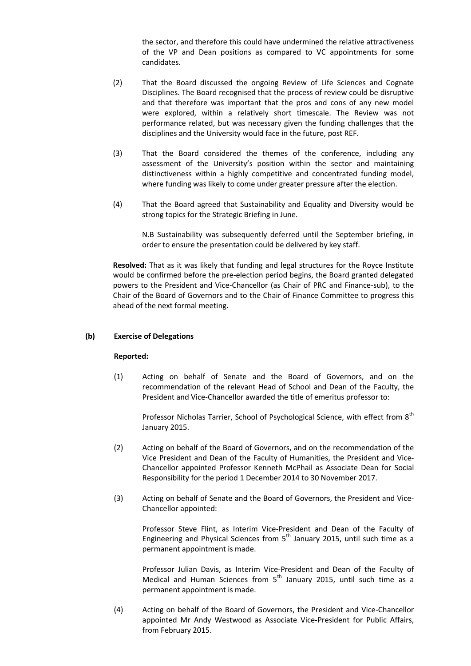the sector, and therefore this could have undermined the relative attractiveness of the VP and Dean positions as compared to VC appointments for some candidates.

- (2) That the Board discussed the ongoing Review of Life Sciences and Cognate Disciplines. The Board recognised that the process of review could be disruptive and that therefore was important that the pros and cons of any new model were explored, within a relatively short timescale. The Review was not performance related, but was necessary given the funding challenges that the disciplines and the University would face in the future, post REF.
- (3) That the Board considered the themes of the conference, including any assessment of the University's position within the sector and maintaining distinctiveness within a highly competitive and concentrated funding model, where funding was likely to come under greater pressure after the election.
- (4) That the Board agreed that Sustainability and Equality and Diversity would be strong topics for the Strategic Briefing in June.

N.B Sustainability was subsequently deferred until the September briefing, in order to ensure the presentation could be delivered by key staff.

**Resolved:** That as it was likely that funding and legal structures for the Royce Institute would be confirmed before the pre-election period begins, the Board granted delegated powers to the President and Vice-Chancellor (as Chair of PRC and Finance-sub), to the Chair of the Board of Governors and to the Chair of Finance Committee to progress this ahead of the next formal meeting.

# **(b) Exercise of Delegations**

#### **Reported:**

(1) Acting on behalf of Senate and the Board of Governors, and on the recommendation of the relevant Head of School and Dean of the Faculty, the President and Vice-Chancellor awarded the title of emeritus professor to:

Professor Nicholas Tarrier, School of Psychological Science, with effect from 8<sup>th</sup> January 2015.

- (2) Acting on behalf of the Board of Governors, and on the recommendation of the Vice President and Dean of the Faculty of Humanities, the President and Vice-Chancellor appointed Professor Kenneth McPhail as Associate Dean for Social Responsibility for the period 1 December 2014 to 30 November 2017.
- (3) Acting on behalf of Senate and the Board of Governors, the President and Vice-Chancellor appointed:

Professor Steve Flint, as Interim Vice-President and Dean of the Faculty of Engineering and Physical Sciences from  $5<sup>th</sup>$  January 2015, until such time as a permanent appointment is made.

Professor Julian Davis, as Interim Vice-President and Dean of the Faculty of Medical and Human Sciences from  $5<sup>th</sup>$  January 2015, until such time as a permanent appointment is made.

(4) Acting on behalf of the Board of Governors, the President and Vice-Chancellor appointed Mr Andy Westwood as Associate Vice-President for Public Affairs, from February 2015.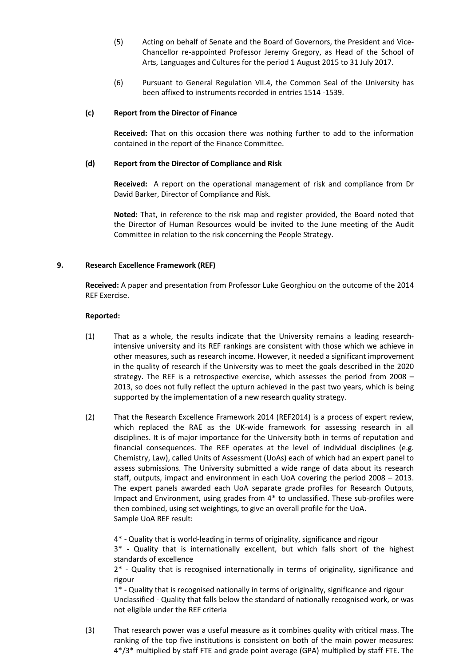- (5) Acting on behalf of Senate and the Board of Governors, the President and Vice-Chancellor re-appointed Professor Jeremy Gregory, as Head of the School of Arts, Languages and Cultures for the period 1 August 2015 to 31 July 2017.
- (6) Pursuant to General Regulation VII.4, the Common Seal of the University has been affixed to instruments recorded in entries 1514 -1539.

## **(c) Report from the Director of Finance**

**Received:** That on this occasion there was nothing further to add to the information contained in the report of the Finance Committee.

## **(d) Report from the Director of Compliance and Risk**

**Received:** A report on the operational management of risk and compliance from Dr David Barker, Director of Compliance and Risk.

**Noted:** That, in reference to the risk map and register provided, the Board noted that the Director of Human Resources would be invited to the June meeting of the Audit Committee in relation to the risk concerning the People Strategy.

## **9. Research Excellence Framework (REF)**

**Received:** A paper and presentation from Professor Luke Georghiou on the outcome of the 2014 REF Exercise.

## **Reported:**

- (1) That as a whole, the results indicate that the University remains a leading researchintensive university and its REF rankings are consistent with those which we achieve in other measures, such as research income. However, it needed a significant improvement in the quality of research if the University was to meet the goals described in the 2020 strategy. The REF is a retrospective exercise, which assesses the period from 2008 – 2013, so does not fully reflect the upturn achieved in the past two years, which is being supported by the implementation of a new research quality strategy.
- (2) That the Research Excellence Framework 2014 (REF2014) is a process of expert review, which replaced the RAE as the UK-wide framework for assessing research in all disciplines. It is of major importance for the University both in terms of reputation and financial consequences. The REF operates at the level of individual disciplines (e.g. Chemistry, Law), called Units of Assessment (UoAs) each of which had an expert panel to assess submissions. The University submitted a wide range of data about its research staff, outputs, impact and environment in each UoA covering the period 2008 – 2013. The expert panels awarded each UoA separate grade profiles for Research Outputs, Impact and Environment, using grades from 4\* to unclassified. These sub-profiles were then combined, using set weightings, to give an overall profile for the UoA. Sample UoA REF result:

4\* - Quality that is world-leading in terms of originality, significance and rigour

3\* - Quality that is internationally excellent, but which falls short of the highest standards of excellence

2\* - Quality that is recognised internationally in terms of originality, significance and rigour

1\* - Quality that is recognised nationally in terms of originality, significance and rigour Unclassified - Quality that falls below the standard of nationally recognised work, or was not eligible under the REF criteria

(3) That research power was a useful measure as it combines quality with critical mass. The ranking of the top five institutions is consistent on both of the main power measures: 4\*/3\* multiplied by staff FTE and grade point average (GPA) multiplied by staff FTE. The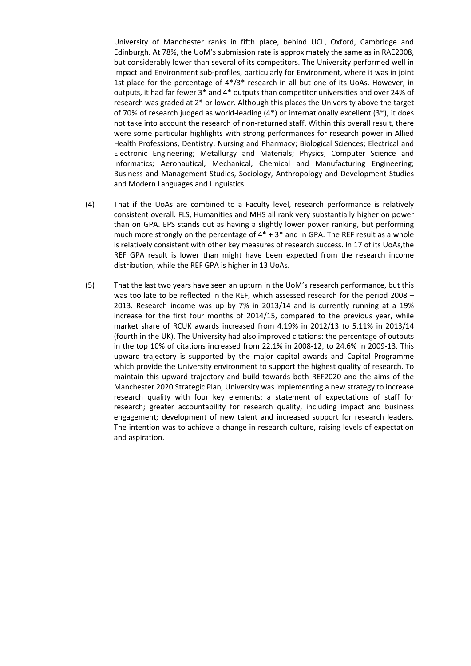University of Manchester ranks in fifth place, behind UCL, Oxford, Cambridge and Edinburgh. At 78%, the UoM's submission rate is approximately the same as in RAE2008, but considerably lower than several of its competitors. The University performed well in Impact and Environment sub-profiles, particularly for Environment, where it was in joint 1st place for the percentage of  $4*/3*$  research in all but one of its UoAs. However, in outputs, it had far fewer 3\* and 4\* outputs than competitor universities and over 24% of research was graded at 2\* or lower. Although this places the University above the target of 70% of research judged as world-leading (4\*) or internationally excellent (3\*), it does not take into account the research of non-returned staff. Within this overall result, there were some particular highlights with strong performances for research power in Allied Health Professions, Dentistry, Nursing and Pharmacy; Biological Sciences; Electrical and Electronic Engineering; Metallurgy and Materials; Physics; Computer Science and Informatics; Aeronautical, Mechanical, Chemical and Manufacturing Engineering; Business and Management Studies, Sociology, Anthropology and Development Studies and Modern Languages and Linguistics.

- (4) That if the UoAs are combined to a Faculty level, research performance is relatively consistent overall. FLS, Humanities and MHS all rank very substantially higher on power than on GPA. EPS stands out as having a slightly lower power ranking, but performing much more strongly on the percentage of  $4* + 3*$  and in GPA. The REF result as a whole is relatively consistent with other key measures of research success. In 17 of its UoAs,the REF GPA result is lower than might have been expected from the research income distribution, while the REF GPA is higher in 13 UoAs.
- (5) That the last two years have seen an upturn in the UoM's research performance, but this was too late to be reflected in the REF, which assessed research for the period 2008 – 2013. Research income was up by 7% in 2013/14 and is currently running at a 19% increase for the first four months of 2014/15, compared to the previous year, while market share of RCUK awards increased from 4.19% in 2012/13 to 5.11% in 2013/14 (fourth in the UK). The University had also improved citations: the percentage of outputs in the top 10% of citations increased from 22.1% in 2008-12, to 24.6% in 2009-13. This upward trajectory is supported by the major capital awards and Capital Programme which provide the University environment to support the highest quality of research. To maintain this upward trajectory and build towards both REF2020 and the aims of the Manchester 2020 Strategic Plan, University was implementing a new strategy to increase research quality with four key elements: a statement of expectations of staff for research; greater accountability for research quality, including impact and business engagement; development of new talent and increased support for research leaders. The intention was to achieve a change in research culture, raising levels of expectation and aspiration.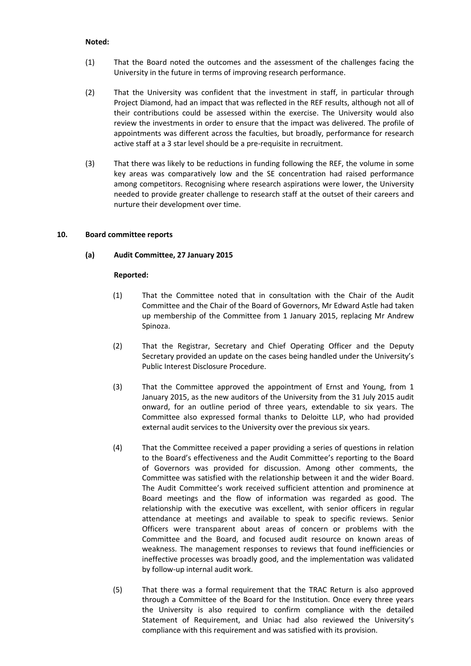#### **Noted:**

- (1) That the Board noted the outcomes and the assessment of the challenges facing the University in the future in terms of improving research performance.
- (2) That the University was confident that the investment in staff, in particular through Project Diamond, had an impact that was reflected in the REF results, although not all of their contributions could be assessed within the exercise. The University would also review the investments in order to ensure that the impact was delivered. The profile of appointments was different across the faculties, but broadly, performance for research active staff at a 3 star level should be a pre-requisite in recruitment.
- (3) That there was likely to be reductions in funding following the REF, the volume in some key areas was comparatively low and the SE concentration had raised performance among competitors. Recognising where research aspirations were lower, the University needed to provide greater challenge to research staff at the outset of their careers and nurture their development over time.

## **10. Board committee reports**

# **(a) Audit Committee, 27 January 2015**

- (1) That the Committee noted that in consultation with the Chair of the Audit Committee and the Chair of the Board of Governors, Mr Edward Astle had taken up membership of the Committee from 1 January 2015, replacing Mr Andrew Spinoza.
- (2) That the Registrar, Secretary and Chief Operating Officer and the Deputy Secretary provided an update on the cases being handled under the University's Public Interest Disclosure Procedure.
- (3) That the Committee approved the appointment of Ernst and Young, from 1 January 2015, as the new auditors of the University from the 31 July 2015 audit onward, for an outline period of three years, extendable to six years. The Committee also expressed formal thanks to Deloitte LLP, who had provided external audit services to the University over the previous six years.
- (4) That the Committee received a paper providing a series of questions in relation to the Board's effectiveness and the Audit Committee's reporting to the Board of Governors was provided for discussion. Among other comments, the Committee was satisfied with the relationship between it and the wider Board. The Audit Committee's work received sufficient attention and prominence at Board meetings and the flow of information was regarded as good. The relationship with the executive was excellent, with senior officers in regular attendance at meetings and available to speak to specific reviews. Senior Officers were transparent about areas of concern or problems with the Committee and the Board, and focused audit resource on known areas of weakness. The management responses to reviews that found inefficiencies or ineffective processes was broadly good, and the implementation was validated by follow-up internal audit work.
- (5) That there was a formal requirement that the TRAC Return is also approved through a Committee of the Board for the Institution. Once every three years the University is also required to confirm compliance with the detailed Statement of Requirement, and Uniac had also reviewed the University's compliance with this requirement and was satisfied with its provision.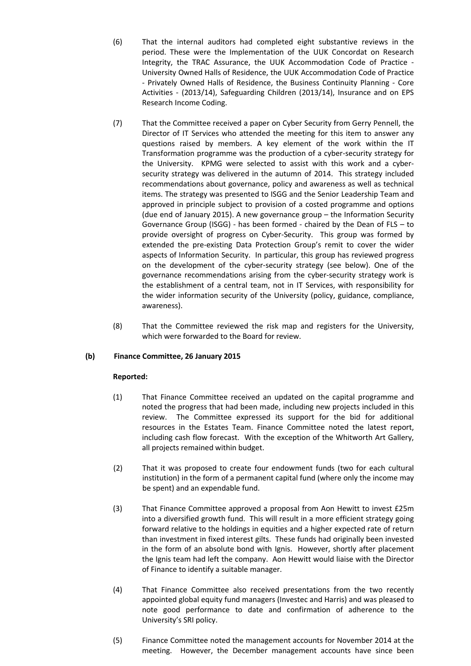(6) That the internal auditors had completed eight substantive reviews in the period. These were the Implementation of the UUK Concordat on Research Integrity, the TRAC Assurance, the UUK Accommodation Code of Practice - University Owned Halls of Residence, the UUK Accommodation Code of Practice - Privately Owned Halls of Residence, the Business Continuity Planning - Core Activities - (2013/14), Safeguarding Children (2013/14), Insurance and on EPS Research Income Coding.

- (7) That the Committee received a paper on Cyber Security from Gerry Pennell, the Director of IT Services who attended the meeting for this item to answer any questions raised by members. A key element of the work within the IT Transformation programme was the production of a cyber-security strategy for the University. KPMG were selected to assist with this work and a cybersecurity strategy was delivered in the autumn of 2014. This strategy included recommendations about governance, policy and awareness as well as technical items. The strategy was presented to ISGG and the Senior Leadership Team and approved in principle subject to provision of a costed programme and options (due end of January 2015). A new governance group – the Information Security Governance Group (ISGG) - has been formed - chaired by the Dean of FLS – to provide oversight of progress on Cyber-Security. This group was formed by extended the pre-existing Data Protection Group's remit to cover the wider aspects of Information Security. In particular, this group has reviewed progress on the development of the cyber-security strategy (see below). One of the governance recommendations arising from the cyber-security strategy work is the establishment of a central team, not in IT Services, with responsibility for the wider information security of the University (policy, guidance, compliance, awareness).
- (8) That the Committee reviewed the risk map and registers for the University, which were forwarded to the Board for review.

# **(b) Finance Committee, 26 January 2015**

- (1) That Finance Committee received an updated on the capital programme and noted the progress that had been made, including new projects included in this review. The Committee expressed its support for the bid for additional resources in the Estates Team. Finance Committee noted the latest report, including cash flow forecast. With the exception of the Whitworth Art Gallery, all projects remained within budget.
- (2) That it was proposed to create four endowment funds (two for each cultural institution) in the form of a permanent capital fund (where only the income may be spent) and an expendable fund.
- (3) That Finance Committee approved a proposal from Aon Hewitt to invest £25m into a diversified growth fund. This will result in a more efficient strategy going forward relative to the holdings in equities and a higher expected rate of return than investment in fixed interest gilts. These funds had originally been invested in the form of an absolute bond with Ignis. However, shortly after placement the Ignis team had left the company. Aon Hewitt would liaise with the Director of Finance to identify a suitable manager.
- (4) That Finance Committee also received presentations from the two recently appointed global equity fund managers (Investec and Harris) and was pleased to note good performance to date and confirmation of adherence to the University's SRI policy.
- (5) Finance Committee noted the management accounts for November 2014 at the meeting. However, the December management accounts have since been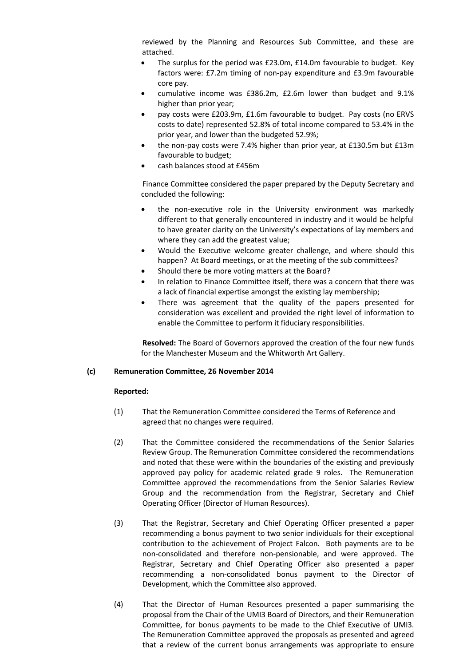reviewed by the Planning and Resources Sub Committee, and these are attached.

- The surplus for the period was £23.0m, £14.0m favourable to budget. Key factors were: £7.2m timing of non-pay expenditure and £3.9m favourable core pay.
- cumulative income was £386.2m, £2.6m lower than budget and 9.1% higher than prior year;
- pay costs were £203.9m, £1.6m favourable to budget. Pay costs (no ERVS costs to date) represented 52.8% of total income compared to 53.4% in the prior year, and lower than the budgeted 52.9%;
- the non-pay costs were 7.4% higher than prior year, at £130.5m but £13m favourable to budget;
- cash balances stood at £456m

Finance Committee considered the paper prepared by the Deputy Secretary and concluded the following:

- the non-executive role in the University environment was markedly different to that generally encountered in industry and it would be helpful to have greater clarity on the University's expectations of lay members and where they can add the greatest value;
- Would the Executive welcome greater challenge, and where should this happen? At Board meetings, or at the meeting of the sub committees?
- Should there be more voting matters at the Board?
- In relation to Finance Committee itself, there was a concern that there was a lack of financial expertise amongst the existing lay membership;
- There was agreement that the quality of the papers presented for consideration was excellent and provided the right level of information to enable the Committee to perform it fiduciary responsibilities.

**Resolved:** The Board of Governors approved the creation of the four new funds for the Manchester Museum and the Whitworth Art Gallery.

#### **(c) Remuneration Committee, 26 November 2014**

- (1) That the Remuneration Committee considered the Terms of Reference and agreed that no changes were required.
- (2) That the Committee considered the recommendations of the Senior Salaries Review Group. The Remuneration Committee considered the recommendations and noted that these were within the boundaries of the existing and previously approved pay policy for academic related grade 9 roles. The Remuneration Committee approved the recommendations from the Senior Salaries Review Group and the recommendation from the Registrar, Secretary and Chief Operating Officer (Director of Human Resources).
- (3) That the Registrar, Secretary and Chief Operating Officer presented a paper recommending a bonus payment to two senior individuals for their exceptional contribution to the achievement of Project Falcon. Both payments are to be non-consolidated and therefore non-pensionable, and were approved. The Registrar, Secretary and Chief Operating Officer also presented a paper recommending a non-consolidated bonus payment to the Director of Development, which the Committee also approved.
- (4) That the Director of Human Resources presented a paper summarising the proposal from the Chair of the UMI3 Board of Directors, and their Remuneration Committee, for bonus payments to be made to the Chief Executive of UMI3. The Remuneration Committee approved the proposals as presented and agreed that a review of the current bonus arrangements was appropriate to ensure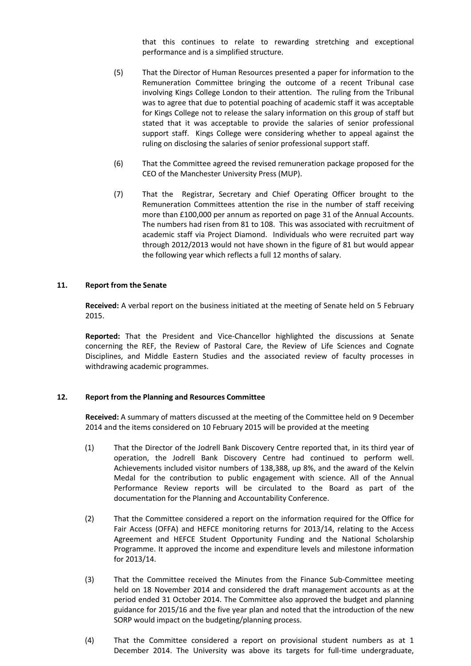that this continues to relate to rewarding stretching and exceptional performance and is a simplified structure.

- (5) That the Director of Human Resources presented a paper for information to the Remuneration Committee bringing the outcome of a recent Tribunal case involving Kings College London to their attention. The ruling from the Tribunal was to agree that due to potential poaching of academic staff it was acceptable for Kings College not to release the salary information on this group of staff but stated that it was acceptable to provide the salaries of senior professional support staff. Kings College were considering whether to appeal against the ruling on disclosing the salaries of senior professional support staff.
- (6) That the Committee agreed the revised remuneration package proposed for the CEO of the Manchester University Press (MUP).
- (7) That the Registrar, Secretary and Chief Operating Officer brought to the Remuneration Committees attention the rise in the number of staff receiving more than £100,000 per annum as reported on page 31 of the Annual Accounts. The numbers had risen from 81 to 108. This was associated with recruitment of academic staff via Project Diamond. Individuals who were recruited part way through 2012/2013 would not have shown in the figure of 81 but would appear the following year which reflects a full 12 months of salary.

#### **11. Report from the Senate**

**Received:** A verbal report on the business initiated at the meeting of Senate held on 5 February 2015.

**Reported:** That the President and Vice-Chancellor highlighted the discussions at Senate concerning the REF, the Review of Pastoral Care, the Review of Life Sciences and Cognate Disciplines, and Middle Eastern Studies and the associated review of faculty processes in withdrawing academic programmes.

#### **12. Report from the Planning and Resources Committee**

**Received:** A summary of matters discussed at the meeting of the Committee held on 9 December 2014 and the items considered on 10 February 2015 will be provided at the meeting

- (1) That the Director of the Jodrell Bank Discovery Centre reported that, in its third year of operation, the Jodrell Bank Discovery Centre had continued to perform well. Achievements included visitor numbers of 138,388, up 8%, and the award of the Kelvin Medal for the contribution to public engagement with science. All of the Annual Performance Review reports will be circulated to the Board as part of the documentation for the Planning and Accountability Conference.
- (2) That the Committee considered a report on the information required for the Office for Fair Access (OFFA) and HEFCE monitoring returns for 2013/14, relating to the Access Agreement and HEFCE Student Opportunity Funding and the National Scholarship Programme. It approved the income and expenditure levels and milestone information for 2013/14.
- (3) That the Committee received the Minutes from the Finance Sub-Committee meeting held on 18 November 2014 and considered the draft management accounts as at the period ended 31 October 2014. The Committee also approved the budget and planning guidance for 2015/16 and the five year plan and noted that the introduction of the new SORP would impact on the budgeting/planning process.
- (4) That the Committee considered a report on provisional student numbers as at 1 December 2014. The University was above its targets for full-time undergraduate,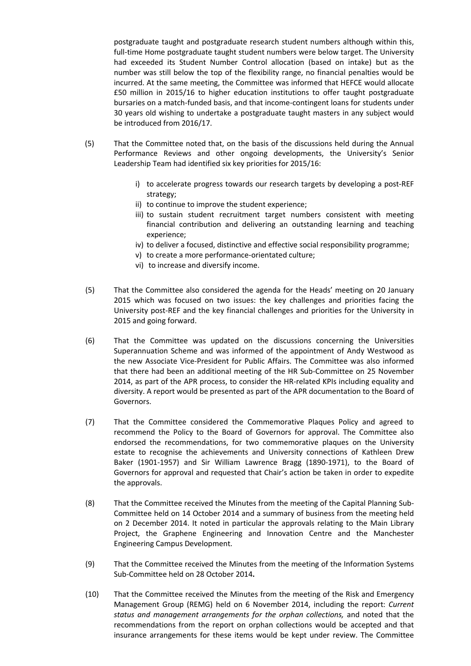postgraduate taught and postgraduate research student numbers although within this, full-time Home postgraduate taught student numbers were below target. The University had exceeded its Student Number Control allocation (based on intake) but as the number was still below the top of the flexibility range, no financial penalties would be incurred. At the same meeting, the Committee was informed that HEFCE would allocate £50 million in 2015/16 to higher education institutions to offer taught postgraduate bursaries on a match-funded basis, and that income-contingent loans for students under 30 years old wishing to undertake a postgraduate taught masters in any subject would be introduced from 2016/17.

- (5) That the Committee noted that, on the basis of the discussions held during the Annual Performance Reviews and other ongoing developments, the University's Senior Leadership Team had identified six key priorities for 2015/16:
	- i) to accelerate progress towards our research targets by developing a post-REF strategy;
	- ii) to continue to improve the student experience;
	- iii) to sustain student recruitment target numbers consistent with meeting financial contribution and delivering an outstanding learning and teaching experience;
	- iv) to deliver a focused, distinctive and effective social responsibility programme;
	- v) to create a more performance-orientated culture;
	- vi) to increase and diversify income.
- (5) That the Committee also considered the agenda for the Heads' meeting on 20 January 2015 which was focused on two issues: the key challenges and priorities facing the University post-REF and the key financial challenges and priorities for the University in 2015 and going forward.
- (6) That the Committee was updated on the discussions concerning the Universities Superannuation Scheme and was informed of the appointment of Andy Westwood as the new Associate Vice-President for Public Affairs. The Committee was also informed that there had been an additional meeting of the HR Sub-Committee on 25 November 2014, as part of the APR process, to consider the HR-related KPIs including equality and diversity. A report would be presented as part of the APR documentation to the Board of Governors.
- (7) That the Committee considered the Commemorative Plaques Policy and agreed to recommend the Policy to the Board of Governors for approval. The Committee also endorsed the recommendations, for two commemorative plaques on the University estate to recognise the achievements and University connections of Kathleen Drew Baker (1901-1957) and Sir William Lawrence Bragg (1890-1971), to the Board of Governors for approval and requested that Chair's action be taken in order to expedite the approvals.
- (8) That the Committee received the Minutes from the meeting of the Capital Planning Sub-Committee held on 14 October 2014 and a summary of business from the meeting held on 2 December 2014. It noted in particular the approvals relating to the Main Library Project, the Graphene Engineering and Innovation Centre and the Manchester Engineering Campus Development.
- (9) That the Committee received the Minutes from the meeting of the Information Systems Sub-Committee held on 28 October 2014**.**
- (10) That the Committee received the Minutes from the meeting of the Risk and Emergency Management Group (REMG) held on 6 November 2014, including the report: *Current status and management arrangements for the orphan collections,* and noted that the recommendations from the report on orphan collections would be accepted and that insurance arrangements for these items would be kept under review. The Committee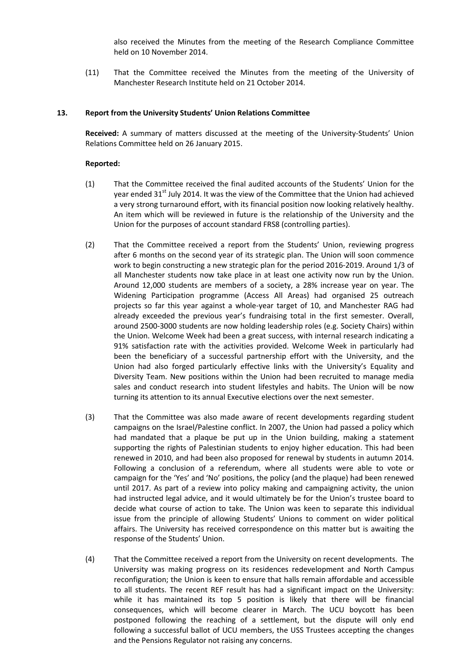also received the Minutes from the meeting of the Research Compliance Committee held on 10 November 2014.

(11) That the Committee received the Minutes from the meeting of the University of Manchester Research Institute held on 21 October 2014.

#### **13. Report from the University Students' Union Relations Committee**

**Received:** A summary of matters discussed at the meeting of the University-Students' Union Relations Committee held on 26 January 2015.

- (1) That the Committee received the final audited accounts of the Students' Union for the year ended 31<sup>st</sup> July 2014. It was the view of the Committee that the Union had achieved a very strong turnaround effort, with its financial position now looking relatively healthy. An item which will be reviewed in future is the relationship of the University and the Union for the purposes of account standard FRS8 (controlling parties).
- (2) That the Committee received a report from the Students' Union, reviewing progress after 6 months on the second year of its strategic plan. The Union will soon commence work to begin constructing a new strategic plan for the period 2016-2019. Around 1/3 of all Manchester students now take place in at least one activity now run by the Union. Around 12,000 students are members of a society, a 28% increase year on year. The Widening Participation programme (Access All Areas) had organised 25 outreach projects so far this year against a whole-year target of 10, and Manchester RAG had already exceeded the previous year's fundraising total in the first semester. Overall, around 2500-3000 students are now holding leadership roles (e.g. Society Chairs) within the Union. Welcome Week had been a great success, with internal research indicating a 91% satisfaction rate with the activities provided. Welcome Week in particularly had been the beneficiary of a successful partnership effort with the University, and the Union had also forged particularly effective links with the University's Equality and Diversity Team. New positions within the Union had been recruited to manage media sales and conduct research into student lifestyles and habits. The Union will be now turning its attention to its annual Executive elections over the next semester.
- (3) That the Committee was also made aware of recent developments regarding student campaigns on the Israel/Palestine conflict. In 2007, the Union had passed a policy which had mandated that a plaque be put up in the Union building, making a statement supporting the rights of Palestinian students to enjoy higher education. This had been renewed in 2010, and had been also proposed for renewal by students in autumn 2014. Following a conclusion of a referendum, where all students were able to vote or campaign for the 'Yes' and 'No' positions, the policy (and the plaque) had been renewed until 2017. As part of a review into policy making and campaigning activity, the union had instructed legal advice, and it would ultimately be for the Union's trustee board to decide what course of action to take. The Union was keen to separate this individual issue from the principle of allowing Students' Unions to comment on wider political affairs. The University has received correspondence on this matter but is awaiting the response of the Students' Union.
- (4) That the Committee received a report from the University on recent developments. The University was making progress on its residences redevelopment and North Campus reconfiguration; the Union is keen to ensure that halls remain affordable and accessible to all students. The recent REF result has had a significant impact on the University: while it has maintained its top 5 position is likely that there will be financial consequences, which will become clearer in March. The UCU boycott has been postponed following the reaching of a settlement, but the dispute will only end following a successful ballot of UCU members, the USS Trustees accepting the changes and the Pensions Regulator not raising any concerns.